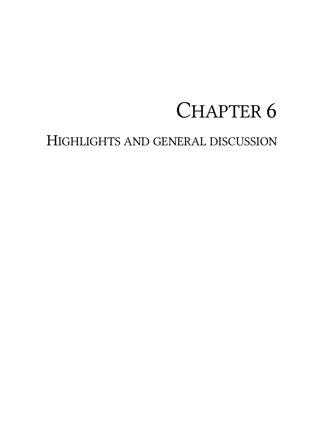# CHAPTER 6

# HIGHLIGHTS AND GENERAL DISCUSSION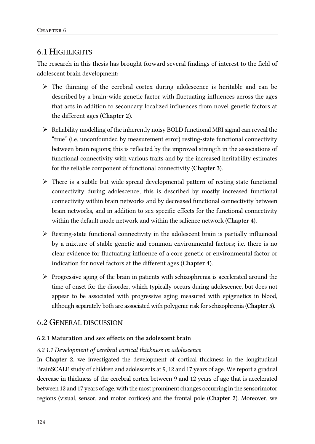# 6.1 HIGHLIGHTS

The research in this thesis has brought forward several findings of interest to the field of adolescent brain development:

- $\triangleright$  The thinning of the cerebral cortex during adolescence is heritable and can be described by a brain-wide genetic factor with fluctuating influences across the ages that acts in addition to secondary localized influences from novel genetic factors at the different ages (Chapter 2).
- $\triangleright$  Reliability modelling of the inherently noisy BOLD functional MRI signal can reveal the "true" (i.e. unconfounded by measurement error) resting-state functional connectivity between brain regions; this is reflected by the improved strength in the associations of functional connectivity with various traits and by the increased heritability estimates for the reliable component of functional connectivity (Chapter 3).
- $\triangleright$  There is a subtle but wide-spread developmental pattern of resting-state functional connectivity during adolescence; this is described by mostly increased functional connectivity within brain networks and by decreased functional connectivity between brain networks, and in addition to sex-specific effects for the functional connectivity within the default mode network and within the salience network (Chapter 4).
- $\triangleright$  Resting-state functional connectivity in the adolescent brain is partially influenced by a mixture of stable genetic and common environmental factors; i.e. there is no clear evidence for fluctuating influence of a core genetic or environmental factor or indication for novel factors at the different ages (Chapter 4).
- $\triangleright$  Progressive aging of the brain in patients with schizophrenia is accelerated around the time of onset for the disorder, which typically occurs during adolescence, but does not appear to be associated with progressive aging measured with epigenetics in blood, although separately both are associated with polygenic risk for schizophrenia (Chapter 5).

### 6.2 GENERAL DISCUSSION

#### 6.2.1 Maturation and sex effects on the adolescent brain

#### *6.2.1.1 Development of cerebral cortical thickness in adolescence*

In Chapter 2, we investigated the development of cortical thickness in the longitudinal BrainSCALE study of children and adolescents at 9, 12 and 17 years of age. We report a gradual decrease in thickness of the cerebral cortex between 9 and 12 years of age that is accelerated between 12 and 17 years of age, with the most prominent changes occurring in the sensorimotor regions (visual, sensor, and motor cortices) and the frontal pole (Chapter 2). Moreover, we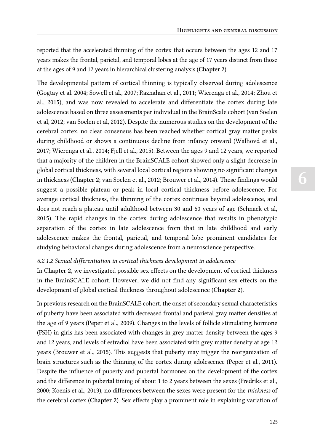reported that the accelerated thinning of the cortex that occurs between the ages 12 and 17 years makes the frontal, parietal, and temporal lobes at the age of 17 years distinct from those at the ages of 9 and 12 years in hierarchical clustering analysis (Chapter 2).

The developmental pattern of cortical thinning is typically observed during adolescence (Gogtay et al. 2004; Sowell et al., 2007; Raznahan et al., 2011; Wierenga et al., 2014; Zhou et al., 2015), and was now revealed to accelerate and differentiate the cortex during late adolescence based on three assessments per individual in the BrainScale cohort (van Soelen et al, 2012; van Soelen et al, 2012). Despite the numerous studies on the development of the cerebral cortex, no clear consensus has been reached whether cortical gray matter peaks during childhood or shows a continuous decline from infancy onward (Walhovd et al., 2017; Wierenga et al., 2014; Fjell et al., 2015). Between the ages 9 and 12 years, we reported that a majority of the children in the BrainSCALE cohort showed only a slight decrease in global cortical thickness, with several local cortical regions showing no significant changes in thickness (Chapter 2; van Soelen et al., 2012; Brouwer et al., 2014). These findings would suggest a possible plateau or peak in local cortical thickness before adolescence. For average cortical thickness, the thinning of the cortex continues beyond adolescence, and does not reach a plateau until adulthood between 30 and 60 years of age (Schnack et al, 2015). The rapid changes in the cortex during adolescence that results in phenotypic separation of the cortex in late adolescence from that in late childhood and early adolescence makes the frontal, parietal, and temporal lobe prominent candidates for studying behavioral changes during adolescence from a neuroscience perspective.

#### *6.2.1.2 Sexual differentiation in cortical thickness development in adolescence*

In Chapter 2, we investigated possible sex effects on the development of cortical thickness in the BrainSCALE cohort. However, we did not find any significant sex effects on the development of global cortical thickness throughout adolescence (Chapter 2).

In previous research on the BrainSCALE cohort, the onset of secondary sexual characteristics of puberty have been associated with decreased frontal and parietal gray matter densities at the age of 9 years (Peper et al., 2009). Changes in the levels of follicle stimulating hormone (FSH) in girls has been associated with changes in grey matter density between the ages 9 and 12 years, and levels of estradiol have been associated with grey matter density at age 12 years (Brouwer et al., 2015). This suggests that puberty may trigger the reorganization of brain structures such as the thinning of the cortex during adolescence (Peper et al., 2011). Despite the influence of puberty and pubertal hormones on the development of the cortex and the difference in pubertal timing of about 1 to 2 years between the sexes (Fredriks et al., 2000; Koenis et al., 2013), no differences between the sexes were present for the *thickness* of the cerebral cortex (Chapter 2). Sex effects play a prominent role in explaining variation of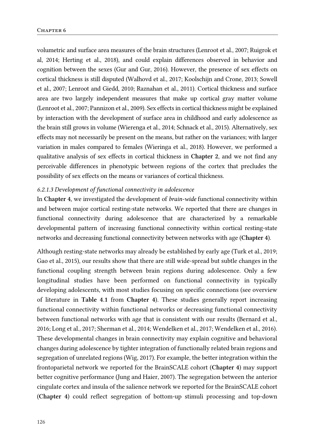volumetric and surface area measures of the brain structures (Lenroot et al., 2007; Ruigrok et al, 2014; Herting et al., 2018), and could explain differences observed in behavior and cognition between the sexes (Gur and Gur, 2016). However, the presence of sex effects on cortical thickness is still disputed (Walhovd et al., 2017; Koolschijn and Crone, 2013; Sowell et al., 2007; Lenroot and Giedd, 2010; Raznahan et al., 2011). Cortical thickness and surface area are two largely independent measures that make up cortical gray matter volume (Lenroot et al., 2007; Pannizon et al., 2009). Sex effects in cortical thickness might be explained by interaction with the development of surface area in childhood and early adolescence as the brain still grows in volume (Wierenga et al., 2014; Schnack et al., 2015). Alternatively, sex effects may not necessarily be present on the means, but rather on the variances; with larger variation in males compared to females (Wieringa et al., 2018). However, we performed a qualitative analysis of sex effects in cortical thickness in Chapter 2, and we not find any perceivable differences in phenotypic between regions of the cortex that precludes the possibility of sex effects on the means or variances of cortical thickness.

#### *6.2.1.3 Development of functional connectivity in adolescence*

In Chapter 4, we investigated the development of *brain-wide* functional connectivity within and between major cortical resting-state networks. We reported that there are changes in functional connectivity during adolescence that are characterized by a remarkable developmental pattern of increasing functional connectivity within cortical resting-state networks and decreasing functional connectivity between networks with age (Chapter 4).

Although resting-state networks may already be established by early age (Turk et al., 2019; Gao et al., 2015), our results show that there are still wide-spread but subtle changes in the functional coupling strength between brain regions during adolescence. Only a few longitudinal studies have been performed on functional connectivity in typically developing adolescents, with most studies focusing on specific connections (see overview of literature in Table 4.1 from Chapter 4). These studies generally report increasing functional connectivity within functional networks or decreasing functional connectivity between functional networks with age that is consistent with our results (Bernard et al., 2016; Long et al., 2017; Sherman et al., 2014; Wendelken et al., 2017; Wendelken et al., 2016). These developmental changes in brain connectivity may explain cognitive and behavioral changes during adolescence by tighter integration of functionally related brain regions and segregation of unrelated regions (Wig, 2017). For example, the better integration within the frontoparietal network we reported for the BrainSCALE cohort (Chapter 4) may support better cognitive performance (Jung and Haier, 2007). The segregation between the anterior cingulate cortex and insula of the salience network we reported for the BrainSCALE cohort (Chapter 4) could reflect segregation of bottom-up stimuli processing and top-down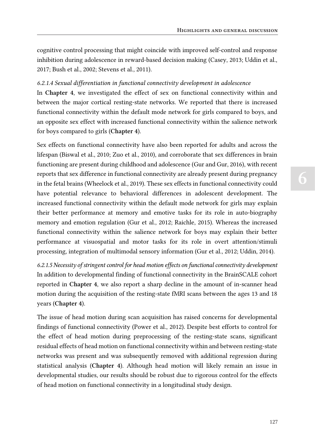cognitive control processing that might coincide with improved self-control and response inhibition during adolescence in reward-based decision making (Casey, 2013; Uddin et al., 2017; Bush et al., 2002; Stevens et al., 2011).

#### *6.2.1.4 Sexual differentiation in functional connectivity development in adolescence*

In Chapter 4, we investigated the effect of sex on functional connectivity within and between the major cortical resting-state networks. We reported that there is increased functional connectivity within the default mode network for girls compared to boys, and an opposite sex effect with increased functional connectivity within the salience network for boys compared to girls (Chapter 4).

Sex effects on functional connectivity have also been reported for adults and across the lifespan (Biswal et al., 2010; Zuo et al., 2010), and corroborate that sex differences in brain functioning are present during childhood and adolescence (Gur and Gur, 2016), with recent reports that sex difference in functional connectivity are already present during pregnancy in the fetal brains (Wheelock et al., 2019). These sex effects in functional connectivity could have potential relevance to behavioral differences in adolescent development. The increased functional connectivity within the default mode network for girls may explain their better performance at memory and emotive tasks for its role in auto-biography memory and emotion regulation (Gur et al., 2012; Raichle, 2015). Whereas the increased functional connectivity within the salience network for boys may explain their better performance at visuospatial and motor tasks for its role in overt attention/stimuli processing, integration of multimodal sensory information (Gur et al., 2012; Uddin, 2014).

*6.2.1.5 Necessity of stringent control for head motion effects on functional connectivity development* In addition to developmental finding of functional connectivity in the BrainSCALE cohort reported in Chapter 4, we also report a sharp decline in the amount of in-scanner head motion during the acquisition of the resting-state fMRI scans between the ages 13 and 18 years (Chapter 4).

The issue of head motion during scan acquisition has raised concerns for developmental findings of functional connectivity (Power et al., 2012). Despite best efforts to control for the effect of head motion during preprocessing of the resting-state scans, significant residual effects of head motion on functional connectivity within and between resting-state networks was present and was subsequently removed with additional regression during statistical analysis (Chapter 4). Although head motion will likely remain an issue in developmental studies, our results should be robust due to rigorous control for the effects of head motion on functional connectivity in a longitudinal study design.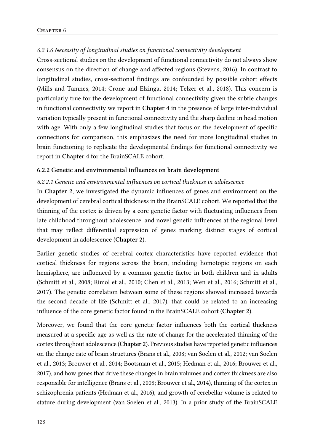#### *6.2.1.6 Necessity of longitudinal studies on functional connectivity development*

Cross-sectional studies on the development of functional connectivity do not always show consensus on the direction of change and affected regions (Stevens, 2016). In contrast to longitudinal studies, cross-sectional findings are confounded by possible cohort effects (Mills and Tamnes, 2014; Crone and Elzinga, 2014; Telzer et al., 2018). This concern is particularly true for the development of functional connectivity given the subtle changes in functional connectivity we report in Chapter 4 in the presence of large inter-individual variation typically present in functional connectivity and the sharp decline in head motion with age. With only a few longitudinal studies that focus on the development of specific connections for comparison, this emphasizes the need for more longitudinal studies in brain functioning to replicate the developmental findings for functional connectivity we report in Chapter 4 for the BrainSCALE cohort.

#### 6.2.2 Genetic and environmental influences on brain development

#### *6.2.2.1 Genetic and environmental influences on cortical thickness in adolescence*

In Chapter 2, we investigated the dynamic influences of genes and environment on the development of cerebral cortical thickness in the BrainSCALE cohort. We reported that the thinning of the cortex is driven by a core genetic factor with fluctuating influences from late childhood throughout adolescence, and novel genetic influences at the regional level that may reflect differential expression of genes marking distinct stages of cortical development in adolescence (Chapter 2).

Earlier genetic studies of cerebral cortex characteristics have reported evidence that cortical thickness for regions across the brain, including homotopic regions on each hemisphere, are influenced by a common genetic factor in both children and in adults (Schmitt et al., 2008; Rimol et al., 2010; Chen et al., 2013; Wen et al., 2016; Schmitt et al., 2017). The genetic correlation between some of these regions showed increased towards the second decade of life (Schmitt et al., 2017), that could be related to an increasing influence of the core genetic factor found in the BrainSCALE cohort (Chapter 2).

Moreover, we found that the core genetic factor influences both the cortical thickness measured at a specific age as well as the rate of change for the accelerated thinning of the cortex throughout adolescence (Chapter 2). Previous studies have reported genetic influences on the change rate of brain structures (Brans et al., 2008; van Soelen et al., 2012; van Soelen et al., 2013; Brouwer et al., 2014; Bootsman et al., 2015; Hedman et al., 2016; Brouwer et al., 2017), and how genes that drive these changes in brain volumes and cortex thickness are also responsible for intelligence (Brans et al., 2008; Brouwer et al., 2014), thinning of the cortex in schizophrenia patients (Hedman et al., 2016), and growth of cerebellar volume is related to stature during development (van Soelen et al., 2013). In a prior study of the BrainSCALE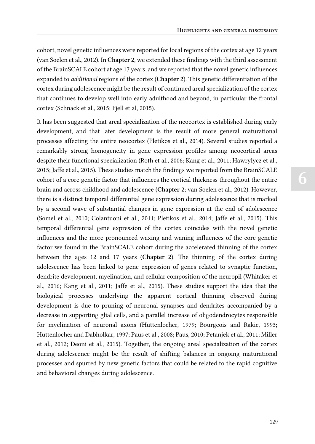cohort, novel genetic influences were reported for local regions of the cortex at age 12 years (van Soelen et al., 2012). In Chapter 2, we extended these findings with the third assessment of the BrainSCALE cohort at age 17 years, and we reported that the novel genetic influences expanded to *additional* regions of the cortex (Chapter 2). This genetic differentiation of the cortex during adolescence might be the result of continued areal specialization of the cortex that continues to develop well into early adulthood and beyond, in particular the frontal cortex (Schnack et al., 2015; Fjell et al, 2015).

It has been suggested that areal specialization of the neocortex is established during early development, and that later development is the result of more general maturational processes affecting the entire neocortex (Pletikos et al., 2014). Several studies reported a remarkably strong homogeneity in gene expression profiles among neocortical areas despite their functional specialization (Roth et al., 2006; Kang et al., 2011; Hawrylycz et al., 2015; Jaffe et al., 2015). These studies match the findings we reported from the BrainSCALE cohort of a core genetic factor that influences the cortical thickness throughout the entire brain and across childhood and adolescence (Chapter 2; van Soelen et al., 2012). However, there is a distinct temporal differential gene expression during adolescence that is marked by a second wave of substantial changes in gene expression at the end of adolescence (Somel et al., 2010; Colantuoni et al., 2011; Pletikos et al., 2014; Jaffe et al., 2015). This temporal differential gene expression of the cortex coincides with the novel genetic influences and the more pronounced waxing and waning influences of the core genetic factor we found in the BrainSCALE cohort during the accelerated thinning of the cortex between the ages 12 and 17 years (Chapter 2). The thinning of the cortex during adolescence has been linked to gene expression of genes related to synaptic function, dendrite development, myelination, and cellular composition of the neuropil (Whitaker et al., 2016; Kang et al., 2011; Jaffe et al., 2015). These studies support the idea that the biological processes underlying the apparent cortical thinning observed during development is due to pruning of neuronal synapses and dendrites accompanied by a decrease in supporting glial cells, and a parallel increase of oligodendrocytes responsible for myelination of neuronal axons (Huttenlocher, 1979; Bourgeois and Rakic, 1993; Huttenlocher and Dabholkar, 1997; Paus et al., 2008; Paus, 2010; Petanjek et al., 2011; Miller et al., 2012; Deoni et al., 2015). Together, the ongoing areal specialization of the cortex during adolescence might be the result of shifting balances in ongoing maturational processes and spurred by new genetic factors that could be related to the rapid cognitive and behavioral changes during adolescence.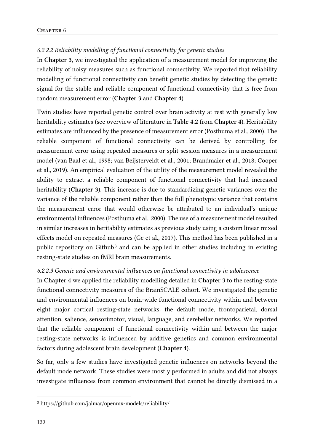#### *6.2.2.2 Reliability modelling of functional connectivity for genetic studies*

In Chapter 3, we investigated the application of a measurement model for improving the reliability of noisy measures such as functional connectivity. We reported that reliability modelling of functional connectivity can benefit genetic studies by detecting the genetic signal for the stable and reliable component of functional connectivity that is free from random measurement error (Chapter 3 and Chapter 4).

Twin studies have reported genetic control over brain activity at rest with generally low heritability estimates (see overview of literature in Table 4.2 from Chapter 4). Heritability estimates are influenced by the presence of measurement error (Posthuma et al., 2000). The reliable component of functional connectivity can be derived by controlling for measurement error using repeated measures or split-session measures in a measurement model (van Baal et al., 1998; van Beijsterveldt et al., 2001; Brandmaier et al., 2018; Cooper et al., 2019). An empirical evaluation of the utility of the measurement model revealed the ability to extract a reliable component of functional connectivity that had increased heritability (Chapter 3). This increase is due to standardizing genetic variances over the variance of the reliable component rather than the full phenotypic variance that contains the measurement error that would otherwise be attributed to an individual's unique environmental influences (Posthuma et al., 2000). The use of a measurement model resulted in similar increases in heritability estimates as previous study using a custom linear mixed effects model on repeated measures (Ge et al., 2017). This method has been published in a public repository on Github<sup>3</sup> and can be applied in other studies including in existing resting-state studies on fMRI brain measurements.

#### *6.2.2.3 Genetic and environmental influences on functional connectivity in adolescence*

In Chapter 4 we applied the reliability modelling detailed in Chapter 3 to the resting-state functional connectivity measures of the BrainSCALE cohort. We investigated the genetic and environmental influences on brain-wide functional connectivity within and between eight major cortical resting-state networks: the default mode, frontoparietal, dorsal attention, salience, sensorimotor, visual, language, and cerebellar networks. We reported that the reliable component of functional connectivity within and between the major resting-state networks is influenced by additive genetics and common environmental factors during adolescent brain development (Chapter 4).

So far, only a few studies have investigated genetic influences on networks beyond the default mode network. These studies were mostly performed in adults and did not always investigate influences from common environment that cannot be directly dismissed in a

<sup>3</sup> https://github.com/jalmar/openmx-models/reliability/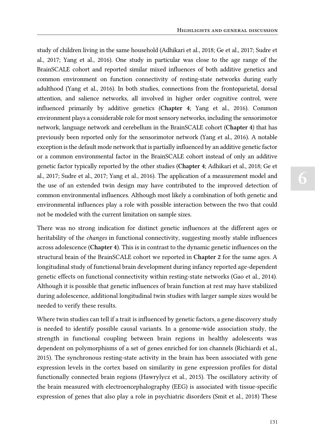study of children living in the same household (Adhikari et al., 2018; Ge et al., 2017; Sudre et al., 2017; Yang et al., 2016). One study in particular was close to the age range of the BrainSCALE cohort and reported similar mixed influences of both additive genetics and common environment on function connectivity of resting-state networks during early adulthood (Yang et al., 2016). In both studies, connections from the frontoparietal, dorsal attention, and salience networks, all involved in higher order cognitive control, were influenced primarily by additive genetics (Chapter 4; Yang et al., 2016). Common environment plays a considerable role for most sensory networks, including the sensorimotor network, language network and cerebellum in the BrainSCALE cohort (Chapter 4) that has previously been reported only for the sensorimotor network (Yang et al., 2016). A notable exception is the default mode network that is partially influenced by an additive genetic factor or a common environmental factor in the BrainSCALE cohort instead of only an additive genetic factor typically reported by the other studies (Chapter 4; Adhikari et al., 2018; Ge et al., 2017; Sudre et al., 2017; Yang et al., 2016). The application of a measurement model and the use of an extended twin design may have contributed to the improved detection of common environmental influences. Although most likely a combination of both genetic and environmental influences play a role with possible interaction between the two that could not be modeled with the current limitation on sample sizes.

There was no strong indication for distinct genetic influences at the different ages or heritability of the *changes* in functional connectivity, suggesting mostly stable influences across adolescence (Chapter 4). This is in contrast to the dynamic genetic influences on the structural brain of the BrainSCALE cohort we reported in Chapter 2 for the same ages. A longitudinal study of functional brain development during infancy reported age-dependent genetic effects on functional connectivity within resting-state networks (Gao et al., 2014). Although it is possible that genetic influences of brain function at rest may have stabilized during adolescence, additional longitudinal twin studies with larger sample sizes would be needed to verify these results.

Where twin studies can tell if a trait is influenced by genetic factors, a gene discovery study is needed to identify possible causal variants. In a genome-wide association study, the strength in functional coupling between brain regions in healthy adolescents was dependent on polymorphisms of a set of genes enriched for ion channels (Richiardi et al., 2015). The synchronous resting-state activity in the brain has been associated with gene expression levels in the cortex based on similarity in gene expression profiles for distal functionally connected brain regions (Hawrylycz et al., 2015). The oscillatory activity of the brain measured with electroencephalography (EEG) is associated with tissue-specific expression of genes that also play a role in psychiatric disorders (Smit et al., 2018) These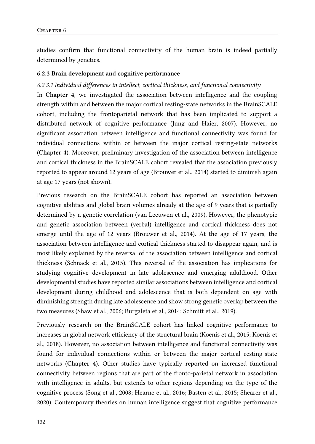studies confirm that functional connectivity of the human brain is indeed partially determined by genetics.

#### 6.2.3 Brain development and cognitive performance

#### *6.2.3.1 Individual differences in intellect, cortical thickness, and functional connectivity*

In Chapter 4, we investigated the association between intelligence and the coupling strength within and between the major cortical resting-state networks in the BrainSCALE cohort, including the frontoparietal network that has been implicated to support a distributed network of cognitive performance (Jung and Haier, 2007). However, no significant association between intelligence and functional connectivity was found for individual connections within or between the major cortical resting-state networks (Chapter 4). Moreover, preliminary investigation of the association between intelligence and cortical thickness in the BrainSCALE cohort revealed that the association previously reported to appear around 12 years of age (Brouwer et al., 2014) started to diminish again at age 17 years (not shown).

Previous research on the BrainSCALE cohort has reported an association between cognitive abilities and global brain volumes already at the age of 9 years that is partially determined by a genetic correlation (van Leeuwen et al., 2009). However, the phenotypic and genetic association between (verbal) intelligence and cortical thickness does not emerge until the age of 12 years (Brouwer et al., 2014). At the age of 17 years, the association between intelligence and cortical thickness started to disappear again, and is most likely explained by the reversal of the association between intelligence and cortical thickness (Schnack et al., 2015). This reversal of the association has implications for studying cognitive development in late adolescence and emerging adulthood. Other developmental studies have reported similar associations between intelligence and cortical development during childhood and adolescence that is both dependent on age with diminishing strength during late adolescence and show strong genetic overlap between the two measures (Shaw et al., 2006; Burgaleta et al., 2014; Schmitt et al., 2019).

Previously research on the BrainSCALE cohort has linked cognitive performance to increases in global network efficiency of the structural brain (Koenis et al., 2015; Koenis et al., 2018). However, no association between intelligence and functional connectivity was found for individual connections within or between the major cortical resting-state networks (Chapter 4). Other studies have typically reported on increased functional connectivity between regions that are part of the fronto-parietal network in association with intelligence in adults, but extends to other regions depending on the type of the cognitive process (Song et al., 2008; Hearne et al., 2016; Basten et al., 2015; Shearer et al., 2020). Contemporary theories on human intelligence suggest that cognitive performance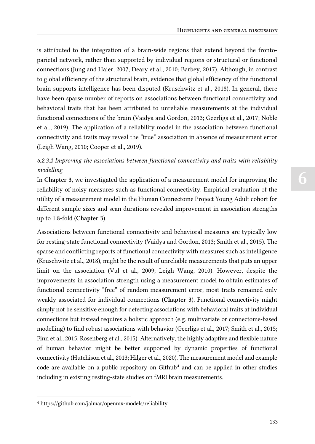is attributed to the integration of a brain-wide regions that extend beyond the frontoparietal network, rather than supported by individual regions or structural or functional connections (Jung and Haier, 2007; Deary et al., 2010; Barbey, 2017). Although, in contrast to global efficiency of the structural brain, evidence that global efficiency of the functional brain supports intelligence has been disputed (Kruschwitz et al., 2018). In general, there have been sparse number of reports on associations between functional connectivity and behavioral traits that has been attributed to unreliable measurements at the individual functional connections of the brain (Vaidya and Gordon, 2013; Geerligs et al., 2017; Noble et al., 2019). The application of a reliability model in the association between functional connectivity and traits may reveal the "true" association in absence of measurement error (Leigh Wang, 2010; Cooper et al., 2019).

# *6.2.3.2 Improving the associations between functional connectivity and traits with reliability modelling*

In Chapter 3, we investigated the application of a measurement model for improving the reliability of noisy measures such as functional connectivity. Empirical evaluation of the utility of a measurement model in the Human Connectome Project Young Adult cohort for different sample sizes and scan durations revealed improvement in association strengths up to 1.8-fold (Chapter 3).

Associations between functional connectivity and behavioral measures are typically low for resting-state functional connectivity (Vaidya and Gordon, 2013; Smith et al., 2015). The sparse and conflicting reports of functional connectivity with measures such as intelligence (Kruschwitz et al., 2018), might be the result of unreliable measurements that puts an upper limit on the association (Vul et al., 2009; Leigh Wang, 2010). However, despite the improvements in association strength using a measurement model to obtain estimates of functional connectivity "free" of random measurement error, most traits remained only weakly associated for individual connections (Chapter 3). Functional connectivity might simply not be sensitive enough for detecting associations with behavioral traits at individual connections but instead requires a holistic approach (e.g. multivariate or connectome-based modelling) to find robust associations with behavior (Geerligs et al., 2017; Smith et al., 2015; Finn et al., 2015; Rosenberg et al., 2015). Alternatively, the highly adaptive and flexible nature of human behavior might be better supported by dynamic properties of functional connectivity (Hutchison et al., 2013; Hilger et al., 2020). The measurement model and example code are available on a public repository on  $Github<sup>4</sup>$  and can be applied in other studies including in existing resting-state studies on fMRI brain measurements.

<sup>4</sup> https://github.com/jalmar/openmx-models/reliability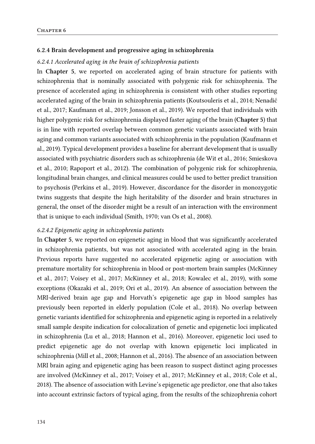#### 6.2.4 Brain development and progressive aging in schizophrenia

#### *6.2.4.1 Accelerated aging in the brain of schizophrenia patients*

In Chapter 5, we reported on accelerated aging of brain structure for patients with schizophrenia that is nominally associated with polygenic risk for schizophrenia. The presence of accelerated aging in schizophrenia is consistent with other studies reporting accelerated aging of the brain in schizophrenia patients (Koutsouleris et al., 2014; Nenadić et al., 2017; Kaufmann et al., 2019; Jonsson et al., 2019). We reported that individuals with higher polygenic risk for schizophrenia displayed faster aging of the brain (Chapter 5) that is in line with reported overlap between common genetic variants associated with brain aging and common variants associated with schizophrenia in the population (Kaufmann et al., 2019). Typical development provides a baseline for aberrant development that is usually associated with psychiatric disorders such as schizophrenia (de Wit et al., 2016; Smieskova et al., 2010; Rapoport et al., 2012). The combination of polygenic risk for schizophrenia, longitudinal brain changes, and clinical measures could be used to better predict transition to psychosis (Perkins et al., 2019). However, discordance for the disorder in monozygotic twins suggests that despite the high heritability of the disorder and brain structures in general, the onset of the disorder might be a result of an interaction with the environment that is unique to each individual (Smith, 1970; van Os et al., 2008).

#### *6.2.4.2 Epigenetic aging in schizophrenia patients*

In Chapter 5, we reported on epigenetic aging in blood that was significantly accelerated in schizophrenia patients, but was not associated with accelerated aging in the brain. Previous reports have suggested no accelerated epigenetic aging or association with premature mortality for schizophrenia in blood or post-mortem brain samples (McKinney et al., 2017; Voisey et al., 2017; McKinney et al., 2018; Kowalec et al., 2019), with some exceptions (Okazaki et al., 2019; Ori et al., 2019). An absence of association between the MRI-derived brain age gap and Horvath's epigenetic age gap in blood samples has previously been reported in elderly population (Cole et al., 2018). No overlap between genetic variants identified for schizophrenia and epigenetic aging is reported in a relatively small sample despite indication for colocalization of genetic and epigenetic loci implicated in schizophrenia (Lu et al., 2018; Hannon et al., 2016). Moreover, epigenetic loci used to predict epigenetic age do not overlap with known epigenetic loci implicated in schizophrenia (Mill et al., 2008; Hannon et al., 2016). The absence of an association between MRI brain aging and epigenetic aging has been reason to suspect distinct aging processes are involved (McKinney et al., 2017; Voisey et al., 2017; McKinney et al., 2018; Cole et al., 2018). The absence of association with Levine's epigenetic age predictor, one that also takes into account extrinsic factors of typical aging, from the results of the schizophrenia cohort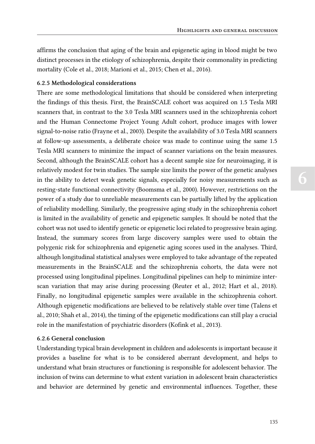affirms the conclusion that aging of the brain and epigenetic aging in blood might be two distinct processes in the etiology of schizophrenia, despite their commonality in predicting mortality (Cole et al., 2018; Marioni et al., 2015; Chen et al., 2016).

#### 6.2.5 Methodological considerations

There are some methodological limitations that should be considered when interpreting the findings of this thesis. First, the BrainSCALE cohort was acquired on 1.5 Tesla MRI scanners that, in contrast to the 3.0 Tesla MRI scanners used in the schizophrenia cohort and the Human Connectome Project Young Adult cohort, produce images with lower signal-to-noise ratio (Frayne et al., 2003). Despite the availability of 3.0 Tesla MRI scanners at follow-up assessments, a deliberate choice was made to continue using the same 1.5 Tesla MRI scanners to minimize the impact of scanner variations on the brain measures. Second, although the BrainSCALE cohort has a decent sample size for neuroimaging, it is relatively modest for twin studies. The sample size limits the power of the genetic analyses in the ability to detect weak genetic signals, especially for noisy measurements such as resting-state functional connectivity (Boomsma et al., 2000). However, restrictions on the power of a study due to unreliable measurements can be partially lifted by the application of reliability modelling. Similarly, the progressive aging study in the schizophrenia cohort is limited in the availability of genetic and epigenetic samples. It should be noted that the cohort was not used to identify genetic or epigenetic loci related to progressive brain aging. Instead, the summary scores from large discovery samples were used to obtain the polygenic risk for schizophrenia and epigenetic aging scores used in the analyses. Third, although longitudinal statistical analyses were employed to take advantage of the repeated measurements in the BrainSCALE and the schizophrenia cohorts, the data were not processed using longitudinal pipelines. Longitudinal pipelines can help to minimize interscan variation that may arise during processing (Reuter et al., 2012; Hart et al., 2018). Finally, no longitudinal epigenetic samples were available in the schizophrenia cohort. Although epigenetic modifications are believed to be relatively stable over time (Talens et al., 2010; Shah et al., 2014), the timing of the epigenetic modifications can still play a crucial role in the manifestation of psychiatric disorders (Kofink et al., 2013).

#### 6.2.6 General conclusion

Understanding typical brain development in children and adolescents is important because it provides a baseline for what is to be considered aberrant development, and helps to understand what brain structures or functioning is responsible for adolescent behavior. The inclusion of twins can determine to what extent variation in adolescent brain characteristics and behavior are determined by genetic and environmental influences. Together, these